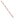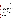# **"Superfund Sediment, Combined Sewer Overflow Discharges, Low Head Dams, and Urbanization Confound Existing Water Use Designations---A Kokomo, Indiana Case Study"**

by: Barton G. Jones, P.E. Senior Project Manager Strand Associates, Inc. 910 West Wingra Drive Madison, WI 53715 phone: (608) 251-4843 fax: (608) 251-8655 email: bart.jones@strand.com

#### **BACKGROUND:**

Kokomo Indiana has 30 Combined Sewer Overflows (CSOs) that discharge into three separate streams pursuant to a newly issued NPDES permit. Two of the water bodies into which the CSOs discharge contain approximately 20,000 linear feet of Superfund site contaminated sediment consisting mainly of heavy metals and organic chemicals. There are four low-head dams on the same two streams, all within the combined sewer service area. As a prerequisite to developing the CSO Long Term Control Plan (LTCP), the Indiana Department of Environmental Management (IDEM) required Kokomo to conduct a stream reach characterization and evaluation of each water body to: (1) assess the environmental impacts, if any, caused specifically by CSO discharges; (2) objectively establish a priority rank order by which CSOs will be addressed in the LTCP; and (3) to establish an in-situ baseline of the aquatic ecosystem utilizing physical, biological, and chemical metrics to assess the future efficacy of the LTCP.

#### METHODOLOGY:

The boundary limits of the contaminated sediment were not known, with precision, on either stream. Therefore, sediment vertical profile camera technology was utilized to provide quantitative data on the physical and biological components of the sediment surface and immediate subsurface sediment layers to define the boundaries of the contaminated sediemnt.

A Habitat Assessment was conducted utilizing the protocols identified in the "Methods for Habitat Assessment and Physiochemical Parameters"; USEPA/841-B-99-002, July 1999 document.

A multi-habitat Biological Community Sampling Survey was conducted in the spring and fall of 2001 at eight in-stream monitoring sites.

Water column chemistry samples at the eight sites were collected in both dry and wet weather and various CSO discharge samples were collected during CSO discharge events. Wet weather events were initiated whenever the first CSO discharged. Samples were subsequently collected at the CSO discharge locations and the eight in-stream sites at 4-hours, 8-hours; 12-hours and 24 hours after initiation of the event.